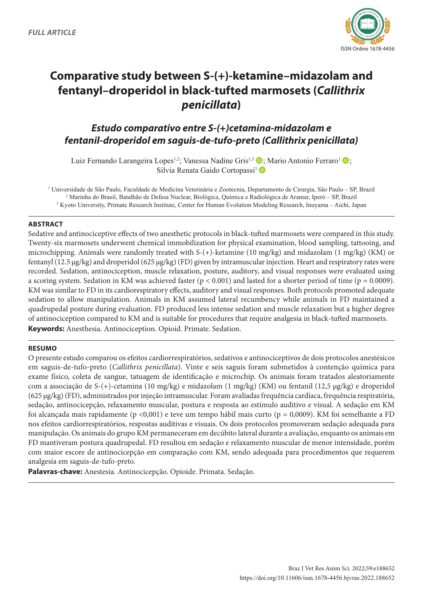

# **Comparative study between S-(+)-ketamine–midazolam and fentanyl–droperidol in black-tufted marmosets (***Callithrix penicillata***)**

# *Estudo comparativo entre S-(+)cetamina-midazolam e fentanil-droperidol em saguis-de-tufo-preto (Callithrix penicillata)*

Luiz Fernando Larangeira Lopes<sup>1,2</sup>; Vanessa Nadine Gris<sup>1,3</sup>  $\bullet$ ; Mario Antonio Ferraro<sup>1</sup>  $\bullet$ ; Silvia Renata Gaido Cortopassi<sup>1</sup>

1 Universidade de São Paulo, Faculdade de Medicina Veterinária e Zootecnia, Departamento de Cirurgia, São Paulo – SP, Brazil 2 Marinha do Brasil, Batalhão de Defesa Nuclear, Biológica, Química e Radiológica de Aramar, Iperó – SP, Brazil 3 Kyoto University, Primate Research Institute, Center for Human Evolution Modeling Research, Inuyama – Aichi, Japan

### **ABSTRACT**

Sedative and antinociceptive effects of two anesthetic protocols in black-tufted marmosets were compared in this study. Twenty-six marmosets underwent chemical immobilization for physical examination, blood sampling, tattooing, and microchipping. Animals were randomly treated with S-(+)-ketamine (10 mg/kg) and midazolam (1 mg/kg) (KM) or fentanyl (12.5 µg/kg) and droperidol (625 µg/kg) (FD) given by intramuscular injection. Heart and respiratory rates were recorded. Sedation, antinociception, muscle relaxation, posture, auditory, and visual responses were evaluated using a scoring system. Sedation in KM was achieved faster ( $p < 0.001$ ) and lasted for a shorter period of time ( $p = 0.0009$ ). KM was similar to FD in its cardiorespiratory effects, auditory and visual responses. Both protocols promoted adequate sedation to allow manipulation. Animals in KM assumed lateral recumbency while animals in FD maintained a quadrupedal posture during evaluation. FD produced less intense sedation and muscle relaxation but a higher degree of antinociception compared to KM and is suitable for procedures that require analgesia in black-tufted marmosets. **Keywords:** Anesthesia. Antinociception. Opioid. Primate. Sedation.

#### **RESUMO**

O presente estudo comparou os efeitos cardiorrespiratórios, sedativos e antinociceptivos de dois protocolos anestésicos em saguis-de-tufo-preto (*Callithrix penicillata*). Vinte e seis saguis foram submetidos à contenção química para exame físico, coleta de sangue, tatuagem de identificação e microchip. Os animais foram tratados aleatoriamente com a associação de S-(+)-cetamina (10 mg/kg) e midazolam (1 mg/kg) (KM) ou fentanil (12,5 µg/kg) e droperidol (625 µg/kg) (FD), administrados por injeção intramuscular. Foram avaliadas frequência cardíaca, frequência respiratória, sedação, antinocicepção, relaxamento muscular, postura e resposta ao estímulo auditivo e visual. A sedação em KM foi alcançada mais rapidamente (p <0,001) e teve um tempo hábil mais curto (p = 0,0009). KM foi semelhante a FD nos efeitos cardiorrespiratórios, respostas auditivas e visuais. Os dois protocolos promoveram sedação adequada para manipulação. Os animais do grupo KM permaneceram em decúbito lateral durante a avaliação, enquanto os animais em FD mantiveram postura quadrupedal. FD resultou em sedação e relaxamento muscular de menor intensidade, porém com maior escore de antinocicepção em comparação com KM, sendo adequada para procedimentos que requerem analgesia em saguis-de-tufo-preto.

**Palavras-chave:** Anestesia. Antinocicepção. Opioide. Primata. Sedação.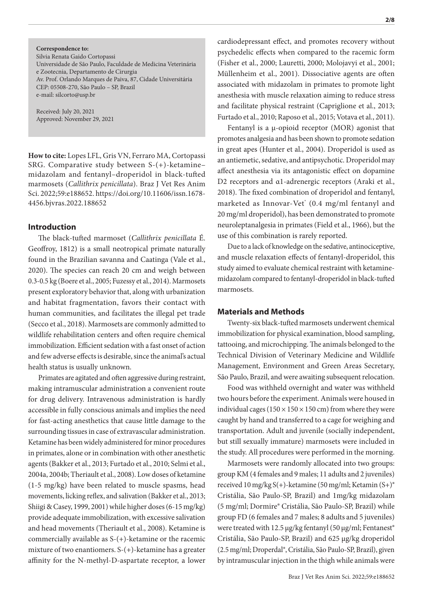**Correspondence to:** Silvia Renata Gaido Cortopassi Universidade de São Paulo, Faculdade de Medicina Veterinária e Zootecnia, Departamento de Cirurgia Av. Prof. Orlando Marques de Paiva, 87, Cidade Universitária CEP: 05508-270, São Paulo – SP, Brazil e-mail: silcorto@usp.br

Received: July 20, 2021 Approved: November 29, 2021

**How to cite:** Lopes LFL, Gris VN, Ferraro MA, Cortopassi SRG. Comparative study between S-(+)-ketamine– midazolam and fentanyl–droperidol in black-tufted marmosets (*Callithrix penicillata*). Braz J Vet Res Anim Sci. 2022;59:e188652. https://doi.org/10.11606/issn.1678- 4456.bjvras.2022.188652

#### **Introduction**

The black-tufted marmoset (*Callithrix penicillata* É. Geoffroy, 1812) is a small neotropical primate naturally found in the Brazilian savanna and Caatinga (Vale et al., 2020). The species can reach 20 cm and weigh between 0.3-0.5 kg (Boere et al., 2005; Fuzessy et al., 2014). Marmosets present exploratory behavior that, along with urbanization and habitat fragmentation, favors their contact with human communities, and facilitates the illegal pet trade (Secco et al., 2018). Marmosets are commonly admitted to wildlife rehabilitation centers and often require chemical immobilization. Efficient sedation with a fast onset of action and few adverse effects is desirable, since the animal's actual health status is usually unknown.

Primates are agitated and often aggressive during restraint, making intramuscular administration a convenient route for drug delivery. Intravenous administration is hardly accessible in fully conscious animals and implies the need for fast-acting anesthetics that cause little damage to the surrounding tissues in case of extravascular administration. Ketamine has been widely administered for minor procedures in primates, alone or in combination with other anesthetic agents (Bakker et al., 2013; Furtado et al., 2010; Selmi et al., 2004a, 2004b; Theriault et al., 2008). Low doses of ketamine (1-5 mg/kg) have been related to muscle spasms, head movements, licking reflex, and salivation (Bakker et al., 2013; Shiigi & Casey, 1999, 2001) while higher doses (6-15 mg/kg) provide adequate immobilization, with excessive salivation and head movements (Theriault et al., 2008). Ketamine is commercially available as S-(+)-ketamine or the racemic mixture of two enantiomers. S-(+)-ketamine has a greater affinity for the N-methyl-D-aspartate receptor, a lower **2/8**

cardiodepressant effect, and promotes recovery without psychedelic effects when compared to the racemic form (Fisher et al., 2000; Lauretti, 2000; Molojavyi et al., 2001; Müllenheim et al., 2001). Dissociative agents are often associated with midazolam in primates to promote light anesthesia with muscle relaxation aiming to reduce stress and facilitate physical restraint (Capriglione et al., 2013; Furtado et al., 2010; Raposo et al., 2015; Votava et al., 2011).

Fentanyl is a μ-opioid receptor (MOR) agonist that promotes analgesia and has been shown to promote sedation in great apes (Hunter et al., 2004). Droperidol is used as an antiemetic, sedative, and antipsychotic. Droperidol may affect anesthesia via its antagonistic effect on dopamine D2 receptors and α1-adrenergic receptors (Araki et al., 2018). The fixed combination of droperidol and fentanyl, marketed as Innovar-Vet<sup>®</sup> (0.4 mg/ml fentanyl and 20 mg/ml droperidol), has been demonstrated to promote neuroleptanalgesia in primates (Field et al., 1966), but the use of this combination is rarely reported.

Due to a lack of knowledge on the sedative, antinociceptive, and muscle relaxation effects of fentanyl-droperidol, this study aimed to evaluate chemical restraint with ketaminemidazolam compared to fentanyl-droperidol in black-tufted marmosets.

#### **Materials and Methods**

Twenty-six black-tufted marmosets underwent chemical immobilization for physical examination, blood sampling, tattooing, and microchipping. The animals belonged to the Technical Division of Veterinary Medicine and Wildlife Management, Environment and Green Areas Secretary, São Paulo, Brazil, and were awaiting subsequent relocation.

Food was withheld overnight and water was withheld two hours before the experiment. Animals were housed in individual cages ( $150 \times 150 \times 150$  cm) from where they were caught by hand and transferred to a cage for weighing and transportation. Adult and juvenile (socially independent, but still sexually immature) marmosets were included in the study. All procedures were performed in the morning.

Marmosets were randomly allocated into two groups: group KM (4 females and 9 males; 11 adults and 2 juveniles) received 10 mg/kg S(+)-ketamine (50 mg/ml; Ketamin (S+)® Cristália, São Paulo-SP, Brazil) and 1mg/kg midazolam (5 mg/ml; Dormire® Cristália, São Paulo-SP, Brazil) while group FD (6 females and 7 males; 8 adults and 5 juveniles) were treated with 12.5 μg/kg fentanyl (50 μg/ml; Fentanest<sup>®</sup> Cristália, São Paulo-SP, Brazil) and 625 µg/kg droperidol (2.5 mg/ml; Droperdal®, Cristália, São Paulo-SP, Brazil), given by intramuscular injection in the thigh while animals were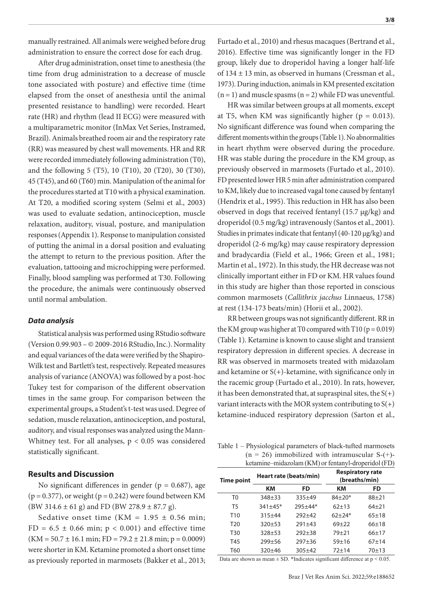manually restrained. All animals were weighed before drug administration to ensure the correct dose for each drug.

After drug administration, onset time to anesthesia (the time from drug administration to a decrease of muscle tone associated with posture) and effective time (time elapsed from the onset of anesthesia until the animal presented resistance to handling) were recorded. Heart rate (HR) and rhythm (lead II ECG) were measured with a multiparametric monitor (InMax Vet Series, Instramed, Brazil). Animals breathed room air and the respiratory rate (RR) was measured by chest wall movements. HR and RR were recorded immediately following administration (T0), and the following 5 (T5), 10 (T10), 20 (T20), 30 (T30), 45 (T45), and 60 (T60) min. Manipulation of the animal for the procedures started at T10 with a physical examination. At T20, a modified scoring system (Selmi et al., 2003) was used to evaluate sedation, antinociception, muscle relaxation, auditory, visual, posture, and manipulation responses (Appendix 1). Response to manipulation consisted of putting the animal in a dorsal position and evaluating the attempt to return to the previous position. After the evaluation, tattooing and microchipping were performed. Finally, blood sampling was performed at T30. Following the procedure, the animals were continuously observed until normal ambulation.

#### *Data analysis*

Statistical analysis was performed using RStudio software (Version 0.99.903 – © 2009-2016 RStudio, Inc.). Normality and equal variances of the data were verified by the Shapiro-Wilk test and Bartlett's test, respectively. Repeated measures analysis of variance (ANOVA) was followed by a post-hoc Tukey test for comparison of the different observation times in the same group. For comparison between the experimental groups, a Student's t-test was used. Degree of sedation, muscle relaxation, antinociception, and postural, auditory, and visual responses was analyzed using the Mann-Whitney test. For all analyses,  $p < 0.05$  was considered statistically significant.

#### **Results and Discussion**

No significant differences in gender ( $p = 0.687$ ), age  $(p = 0.377)$ , or weight  $(p = 0.242)$  were found between KM (BW 314.6  $\pm$  61 g) and FD (BW 278.9  $\pm$  87.7 g).

Sedative onset time (KM =  $1.95 \pm 0.56$  min;  $FD = 6.5 \pm 0.66$  min;  $p < 0.001$ ) and effective time  $(KM = 50.7 \pm 16.1 \text{ min}; FD = 79.2 \pm 21.8 \text{ min}; p = 0.0009)$ were shorter in KM. Ketamine promoted a short onset time as previously reported in marmosets (Bakker et al., 2013;

Furtado et al., 2010) and rhesus macaques (Bertrand et al., 2016). Effective time was significantly longer in the FD group, likely due to droperidol having a longer half-life of 134 ± 13 min, as observed in humans (Cressman et al., 1973). During induction, animals in KM presented excitation  $(n = 1)$  and muscle spasms  $(n = 2)$  while FD was uneventful.

HR was similar between groups at all moments, except at T5, when KM was significantly higher ( $p = 0.013$ ). No significant difference was found when comparing the different moments within the groups (Table 1). No abnormalities in heart rhythm were observed during the procedure. HR was stable during the procedure in the KM group, as previously observed in marmosets (Furtado et al., 2010). FD presented lower HR 5 min after administration compared to KM, likely due to increased vagal tone caused by fentanyl (Hendrix et al., 1995). This reduction in HR has also been observed in dogs that received fentanyl (15.7 μg/kg) and droperidol (0.5 mg/kg) intravenously (Santos et al., 2001). Studies in primates indicate that fentanyl (40-120 μg/kg) and droperidol (2-6 mg/kg) may cause respiratory depression and bradycardia (Field et al., 1966; Green et al., 1981; Martin et al., 1972). In this study, the HR decrease was not clinically important either in FD or KM. HR values found in this study are higher than those reported in conscious common marmosets (*Callithrix jacchus* Linnaeus, 1758) at rest (134-173 beats/min) (Horii et al., 2002).

RR between groups was not significantly different. RR in the KM group was higher at T0 compared with T10 ( $p = 0.019$ ) (Table 1). Ketamine is known to cause slight and transient respiratory depression in different species. A decrease in RR was observed in marmosets treated with midazolam and ketamine or  $S(+)$ -ketamine, with significance only in the racemic group (Furtado et al., 2010). In rats, however, it has been demonstrated that, at supraspinal sites, the  $S(+)$ variant interacts with the MOR system contributing to  $S(+)$ ketamine-induced respiratory depression (Sarton et al.,

Table 1 – Physiological parameters of black-tufted marmosets  $(n = 26)$  immobilized with intramuscular S- $(+)$ ketamine–midazolam (KM) or fentanyl-droperidol (FD)

| <b>Time point</b> |             | Heart rate (beats/min) | <b>Respiratory rate</b><br>(breaths/min) |           |  |
|-------------------|-------------|------------------------|------------------------------------------|-----------|--|
|                   | KМ          | FD                     | ĸм                                       | FD        |  |
| T0                | $348 + 33$  | $335+49$               | $84+20*$                                 | $88+21$   |  |
| T5                | $341 + 45*$ | $795 + 44*$            | $62+13$                                  | $64 + 21$ |  |
| T10               | $315 + 44$  | $792+42$               | $62+24*$                                 | $65+18$   |  |
| T20               | $320+53$    | $291 + 43$             | $69+22$                                  | $66+18$   |  |
| T30               | $328 + 53$  | $792 + 38$             | $79 + 21$                                | $66+17$   |  |
| T45               | $799 + 56$  | $797 + 36$             | $59 + 16$                                | $67+14$   |  |
| T60               | $320 + 46$  | $305 + 42$             | $72+14$                                  | $70+13$   |  |

Data are shown as mean  $\pm$  SD. \*Indicates significant difference at  $p < 0.05$ .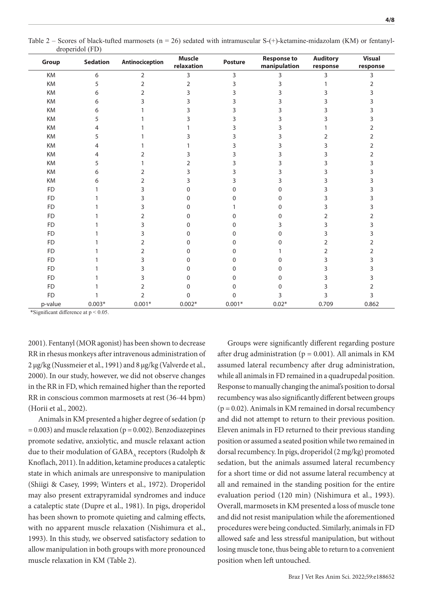| Group     | <b>Sedation</b>  | Antinociception | <b>Muscle</b><br>relaxation | <b>Posture</b> | <b>Response to</b><br>manipulation | <b>Auditory</b><br>response | <b>Visual</b><br>response |
|-----------|------------------|-----------------|-----------------------------|----------------|------------------------------------|-----------------------------|---------------------------|
| KM        | $\boldsymbol{6}$ | 2               | $\overline{3}$              | 3              | 3                                  | 3                           | 3                         |
| KM        | 5                | $\overline{2}$  | $\overline{2}$              | 3              | 3                                  |                             | 2                         |
| KM        | 6                | $\overline{2}$  | 3                           | 3              | 3                                  | 3                           | 3                         |
| KM        | 6                | 3               | ς                           | 3              | 3                                  | 3                           |                           |
| KM        | 6                |                 |                             | 3              | 3                                  | 3                           |                           |
| KM        | 5                |                 |                             | 3              | 3                                  | 3                           |                           |
| KM        | 4                |                 |                             | 3              | 3                                  |                             | 2                         |
| KM        | 5                |                 | 3                           | 3              | 3                                  | 2                           | 2                         |
| KM        | 4                |                 |                             | 3              | 3                                  | 3                           | 2                         |
| KM        | 4                | 2               |                             | 3              | 3                                  | 3                           | 2                         |
| KM        | 5                |                 | 2                           | 3              | 3                                  | 3                           |                           |
| KM        | 6                | 2               | 3                           | 3              | 3                                  | 3                           |                           |
| KM        | 6                | 2               |                             | 3              | 3                                  | 3                           |                           |
| <b>FD</b> |                  | 3               | U                           | <sup>0</sup>   | $\Omega$                           | 3                           |                           |
| <b>FD</b> |                  | 3               | O                           | 0              | $\Omega$                           | 3                           |                           |
| <b>FD</b> |                  | 3               | U                           |                | $\mathbf{0}$                       | 3                           |                           |
| <b>FD</b> |                  | 2               | O                           |                | $\Omega$                           | $\overline{2}$              | 2                         |
| <b>FD</b> |                  | 3               | U                           | U              | 3                                  | 3                           |                           |
| <b>FD</b> |                  | 3               | O                           | 0              | $\Omega$                           | 3                           | 3                         |
| <b>FD</b> |                  | 2               | U                           | U              | $\Omega$                           | 2                           | 2                         |
| <b>FD</b> |                  | 2               | U                           | 0              |                                    | $\overline{2}$              | 2                         |
| <b>FD</b> |                  | 3               | O                           | 0              | 0                                  | 3                           | 3                         |
| <b>FD</b> |                  | 3               | O                           | 0              | $\Omega$                           | 3                           |                           |
| <b>FD</b> |                  | 3               | O                           | Ω              | $\Omega$                           | 3                           |                           |
| <b>FD</b> |                  | 2               | U                           | ი              | $\Omega$                           | 3                           | 2                         |
| <b>FD</b> |                  | $\overline{2}$  | $\Omega$                    | 0              | 3                                  | 3                           | 3                         |
| p-value   | $0.003*$         | $0.001*$        | $0.002*$                    | $0.001*$       | $0.02*$                            | 0.709                       | 0.862                     |

Table 2 – Scores of black-tufted marmosets ( $n = 26$ ) sedated with intramuscular S-(+)-ketamine-midazolam (KM) or fentanyldroperidol (FD)

\*Significant difference at p < 0.05.

2001). Fentanyl (MOR agonist) has been shown to decrease RR in rhesus monkeys after intravenous administration of 2 μg/kg (Nussmeier et al., 1991) and 8 μg/kg (Valverde et al., 2000). In our study, however, we did not observe changes in the RR in FD, which remained higher than the reported RR in conscious common marmosets at rest (36-44 bpm) (Horii et al., 2002).

Animals in KM presented a higher degree of sedation (p  $= 0.003$ ) and muscle relaxation ( $p = 0.002$ ). Benzodiazepines promote sedative, anxiolytic, and muscle relaxant action due to their modulation of GABA, receptors (Rudolph & Knoflach, 2011). In addition, ketamine produces a cataleptic state in which animals are unresponsive to manipulation (Shiigi & Casey, 1999; Winters et al., 1972). Droperidol may also present extrapyramidal syndromes and induce a cataleptic state (Dupre et al., 1981). In pigs, droperidol has been shown to promote quieting and calming effects, with no apparent muscle relaxation (Nishimura et al., 1993). In this study, we observed satisfactory sedation to allow manipulation in both groups with more pronounced muscle relaxation in KM (Table 2).

Groups were significantly different regarding posture after drug administration ( $p = 0.001$ ). All animals in KM assumed lateral recumbency after drug administration, while all animals in FD remained in a quadrupedal position. Response to manually changing the animal's position to dorsal recumbency was also significantly different between groups  $(p = 0.02)$ . Animals in KM remained in dorsal recumbency and did not attempt to return to their previous position. Eleven animals in FD returned to their previous standing position or assumed a seated position while two remained in dorsal recumbency. In pigs, droperidol (2 mg/kg) promoted sedation, but the animals assumed lateral recumbency for a short time or did not assume lateral recumbency at all and remained in the standing position for the entire evaluation period (120 min) (Nishimura et al., 1993). Overall, marmosets in KM presented a loss of muscle tone and did not resist manipulation while the aforementioned procedures were being conducted. Similarly, animals in FD allowed safe and less stressful manipulation, but without losing muscle tone, thus being able to return to a convenient position when left untouched.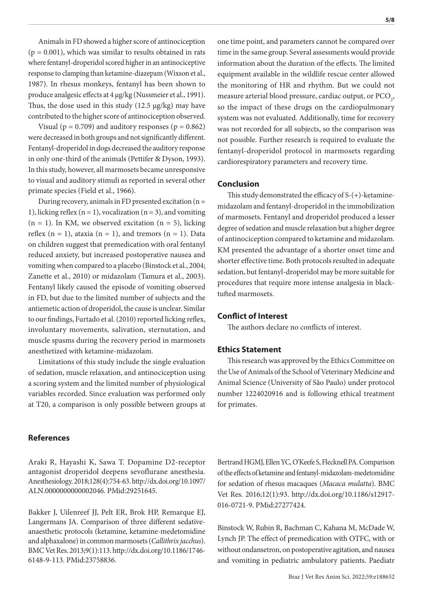Animals in FD showed a higher score of antinociception  $(p = 0.001)$ , which was similar to results obtained in rats where fentanyl-droperidol scored higher in an antinociceptive response to clamping than ketamine-diazepam (Wixson et al., 1987). In rhesus monkeys, fentanyl has been shown to produce analgesic effects at 4 μg/kg (Nussmeier et al., 1991). Thus, the dose used in this study (12.5 μg/kg) may have contributed to the higher score of antinociception observed.

Visual ( $p = 0.709$ ) and auditory responses ( $p = 0.862$ ) were decreased in both groups and not significantly different. Fentanyl-droperidol in dogs decreased the auditory response in only one-third of the animals (Pettifer & Dyson, 1993). In this study, however, all marmosets became unresponsive to visual and auditory stimuli as reported in several other primate species (Field et al., 1966).

During recovery, animals in FD presented excitation ( $n =$ 1), licking reflex ( $n = 1$ ), vocalization ( $n = 3$ ), and vomiting  $(n = 1)$ . In KM, we observed excitation  $(n = 5)$ , licking reflex  $(n = 1)$ , ataxia  $(n = 1)$ , and tremors  $(n = 1)$ . Data on children suggest that premedication with oral fentanyl reduced anxiety, but increased postoperative nausea and vomiting when compared to a placebo (Binstock et al., 2004; Zanette et al., 2010) or midazolam (Tamura et al., 2003). Fentanyl likely caused the episode of vomiting observed in FD, but due to the limited number of subjects and the antiemetic action of droperidol, the cause is unclear. Similar to our findings, Furtado et al. (2010) reported licking reflex, involuntary movements, salivation, sternutation, and muscle spasms during the recovery period in marmosets anesthetized with ketamine-midazolam.

Limitations of this study include the single evaluation of sedation, muscle relaxation, and antinociception using a scoring system and the limited number of physiological variables recorded. Since evaluation was performed only at T20, a comparison is only possible between groups at

#### **References**

Araki R, Hayashi K, Sawa T. Dopamine D2-receptor antagonist droperidol deepens sevoflurane anesthesia. Anesthesiology. 2018;128(4):754-63. [http://dx.doi.org/10.1097/](https://doi.org/10.1097/ALN.0000000000002046) [ALN.0000000000002046](https://doi.org/10.1097/ALN.0000000000002046). [PMid:29251645.](https://www.ncbi.nlm.nih.gov/entrez/query.fcgi?cmd=Retrieve&db=PubMed&list_uids=29251645&dopt=Abstract)

Bakker J, Uilenreef JJ, Pelt ER, Brok HP, Remarque EJ, Langermans JA. Comparison of three different sedativeanaesthetic protocols (ketamine, ketamine-medetomidine and alphaxalone) in common marmosets (*Callithrix jacchus*). BMC Vet Res. 2013;9(1):113. [http://dx.doi.org/10.1186/1746-](https://doi.org/10.1186/1746-6148-9-113) [6148-9-113.](https://doi.org/10.1186/1746-6148-9-113) [PMid:23758836.](https://www.ncbi.nlm.nih.gov/entrez/query.fcgi?cmd=Retrieve&db=PubMed&list_uids=23758836&dopt=Abstract)

one time point, and parameters cannot be compared over time in the same group. Several assessments would provide information about the duration of the effects. The limited equipment available in the wildlife rescue center allowed the monitoring of HR and rhythm. But we could not measure arterial blood pressure, cardiac output, or  $\text{PCO}_2$ , so the impact of these drugs on the cardiopulmonary system was not evaluated. Additionally, time for recovery was not recorded for all subjects, so the comparison was not possible. Further research is required to evaluate the fentanyl-droperidol protocol in marmosets regarding cardiorespiratory parameters and recovery time.

### **Conclusion**

This study demonstrated the efficacy of S-(+)-ketaminemidazolam and fentanyl-droperidol in the immobilization of marmosets. Fentanyl and droperidol produced a lesser degree of sedation and muscle relaxation but a higher degree of antinociception compared to ketamine and midazolam. KM presented the advantage of a shorter onset time and shorter effective time. Both protocols resulted in adequate sedation, but fentanyl-droperidol may be more suitable for procedures that require more intense analgesia in blacktufted marmosets.

#### **Conflict of Interest**

The authors declare no conflicts of interest.

#### **Ethics Statement**

This research was approved by the Ethics Committee on the Use of Animals of the School of Veterinary Medicine and Animal Science (University of São Paulo) under protocol number 1224020916 and is following ethical treatment for primates.

Bertrand HGMJ, Ellen YC, O'Keefe S, Flecknell PA. Comparison of the effects of ketamine and fentanyl-midazolam-medetomidine for sedation of rhesus macaques (*Macaca mulatta*). BMC Vet Res. 2016;12(1):93. [http://dx.doi.org/10.1186/s12917-](https://doi.org/10.1186/s12917-016-0721-9) [016-0721-9](https://doi.org/10.1186/s12917-016-0721-9). [PMid:27277424.](https://www.ncbi.nlm.nih.gov/entrez/query.fcgi?cmd=Retrieve&db=PubMed&list_uids=27277424&dopt=Abstract)

Binstock W, Rubin R, Bachman C, Kahana M, McDade W, Lynch JP. The effect of premedication with OTFC, with or without ondansetron, on postoperative agitation, and nausea and vomiting in pediatric ambulatory patients. Paediatr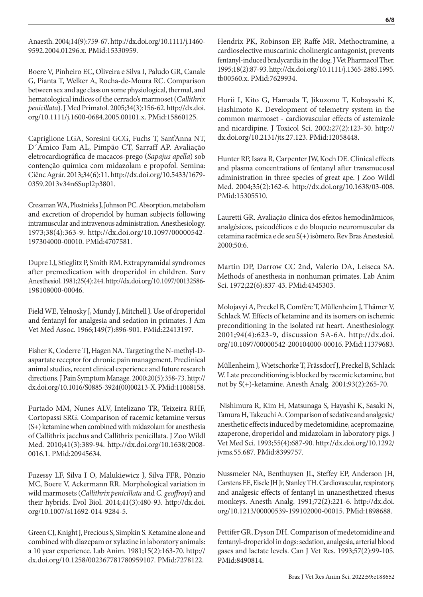Anaesth. 2004;14(9):759-67. [http://dx.doi.org/10.1111/j.1460-](https://doi.org/10.1111/j.1460-9592.2004.01296.x) [9592.2004.01296.x](https://doi.org/10.1111/j.1460-9592.2004.01296.x). [PMid:15330959.](https://www.ncbi.nlm.nih.gov/entrez/query.fcgi?cmd=Retrieve&db=PubMed&list_uids=15330959&dopt=Abstract)

Boere V, Pinheiro EC, Oliveira e Silva I, Paludo GR, Canale G, Pianta T, Welker A, Rocha-de-Moura RC. Comparison between sex and age class on some physiological, thermal, and hematological indices of the cerrado's marmoset (*Callithrix penicillata*). J Med Primatol. 2005;34(3):156-62. [http://dx.doi.](https://doi.org/10.1111/j.1600-0684.2005.00101.x) [org/10.1111/j.1600-0684.2005.00101.x](https://doi.org/10.1111/j.1600-0684.2005.00101.x). [PMid:15860125.](https://www.ncbi.nlm.nih.gov/entrez/query.fcgi?cmd=Retrieve&db=PubMed&list_uids=15860125&dopt=Abstract)

Capriglione LGA, Soresini GCG, Fuchs T, Sant'Anna NT, D´Ámico Fam AL, Pimpão CT, Sarraff AP. Avaliação eletrocardiográfica de macacos-prego (*Sapajus apella*) sob contenção química com midazolam e propofol. Semina: Ciênc Agrár. 2013;34(6):11. [http://dx.doi.org/10.5433/1679-](https://doi.org/10.5433/1679-0359.2013v34n6Supl2p3801) [0359.2013v34n6Supl2p3801](https://doi.org/10.5433/1679-0359.2013v34n6Supl2p3801).

Cressman WA, Plostnieks J, Johnson PC. Absorption, metabolism and excretion of droperidol by human subjects following intramuscular and intravenous administration. Anesthesiology. 1973;38(4):363-9. [http://dx.doi.org/10.1097/00000542-](https://doi.org/10.1097/00000542-197304000-00010) [197304000-00010](https://doi.org/10.1097/00000542-197304000-00010)[. PMid:4707581.](https://www.ncbi.nlm.nih.gov/entrez/query.fcgi?cmd=Retrieve&db=PubMed&list_uids=4707581&dopt=Abstract)

Dupre LJ, Stieglitz P, Smith RM. Extrapyramidal syndromes after premedication with droperidol in children. Surv Anesthesiol. 1981;25(4):244. [http://dx.doi.org/10.1097/00132586-](https://doi.org/10.1097/00132586-198108000-00046) [198108000-00046.](https://doi.org/10.1097/00132586-198108000-00046)

Field WE, Yelnosky J, Mundy J, Mitchell J. Use of droperidol and fentanyl for analgesia and sedation in primates. J Am Vet Med Assoc. 1966;149(7):896-901[. PMid:22413197.](https://www.ncbi.nlm.nih.gov/entrez/query.fcgi?cmd=Retrieve&db=PubMed&list_uids=22413197&dopt=Abstract)

Fisher K, Coderre TJ, Hagen NA. Targeting the N-methyl-Daspartate receptor for chronic pain management. Preclinical animal studies, recent clinical experience and future research directions. J Pain Symptom Manage. 2000;20(5):358-73. [http://](https://doi.org/10.1016/S0885-3924(00)00213-X) [dx.doi.org/10.1016/S0885-3924\(00\)00213-X](https://doi.org/10.1016/S0885-3924(00)00213-X). [PMid:11068158.](https://www.ncbi.nlm.nih.gov/entrez/query.fcgi?cmd=Retrieve&db=PubMed&list_uids=11068158&dopt=Abstract)

Furtado MM, Nunes ALV, Intelizano TR, Teixeira RHF, Cortopassi SRG. Comparison of racemic ketamine versus (S+) ketamine when combined with midazolam for anesthesia of Callithrix jacchus and Callithrix penicillata. J Zoo Wildl Med. 2010;41(3):389-94. [http://dx.doi.org/10.1638/2008-](https://doi.org/10.1638/2008-0016.1) [0016.1](https://doi.org/10.1638/2008-0016.1)[. PMid:20945634.](https://www.ncbi.nlm.nih.gov/entrez/query.fcgi?cmd=Retrieve&db=PubMed&list_uids=20945634&dopt=Abstract)

Fuzessy LF, Silva I O, Malukiewicz J, Silva FFR, Pônzio MC, Boere V, Ackermann RR. Morphological variation in wild marmosets (*Callithrix penicillata* and *C. geoffroyi*) and their hybrids. Evol Biol. 2014;41(3):480-93. [http://dx.doi.](https://doi.org/10.1007/s11692-014-9284-5) [org/10.1007/s11692-014-9284-5](https://doi.org/10.1007/s11692-014-9284-5).

Green CJ, Knight J, Precious S, Simpkin S. Ketamine alone and combined with diazepam or xylazine in laboratory animals: a 10 year experience. Lab Anim. 1981;15(2):163-70. [http://](https://doi.org/10.1258/002367781780959107) [dx.doi.org/10.1258/002367781780959107](https://doi.org/10.1258/002367781780959107)[. PMid:7278122.](https://www.ncbi.nlm.nih.gov/entrez/query.fcgi?cmd=Retrieve&db=PubMed&list_uids=7278122&dopt=Abstract)

Hendrix PK, Robinson EP, Raffe MR. Methoctramine, a cardioselective muscarinic cholinergic antagonist, prevents fentanyl-induced bradycardia in the dog. J Vet Pharmacol Ther. 1995;18(2):87-93. [http://dx.doi.org/10.1111/j.1365-2885.1995.](https://doi.org/10.1111/j.1365-2885.1995.tb00560.x) [tb00560.x](https://doi.org/10.1111/j.1365-2885.1995.tb00560.x). [PMid:7629934.](https://www.ncbi.nlm.nih.gov/entrez/query.fcgi?cmd=Retrieve&db=PubMed&list_uids=7629934&dopt=Abstract)

Horii I, Kito G, Hamada T, Jikuzono T, Kobayashi K, Hashimoto K. Development of telemetry system in the common marmoset - cardiovascular effects of astemizole and nicardipine. J Toxicol Sci. 2002;27(2):123-30. [http://](https://doi.org/10.2131/jts.27.123) [dx.doi.org/10.2131/jts.27.123.](https://doi.org/10.2131/jts.27.123) [PMid:12058448.](https://www.ncbi.nlm.nih.gov/entrez/query.fcgi?cmd=Retrieve&db=PubMed&list_uids=12058448&dopt=Abstract)

Hunter RP, Isaza R, Carpenter JW, Koch DE. Clinical effects and plasma concentrations of fentanyl after transmucosal administration in three species of great ape. J Zoo Wildl Med. 2004;35(2):162-6. [http://dx.doi.org/10.1638/03-008](https://doi.org/10.1638/03-008). [PMid:15305510.](https://www.ncbi.nlm.nih.gov/entrez/query.fcgi?cmd=Retrieve&db=PubMed&list_uids=15305510&dopt=Abstract)

Lauretti GR. Avaliação clínica dos efeitos hemodinâmicos, analgésicos, psicodélicos e do bloqueio neuromuscular da cetamina racêmica e de seu S(+) isômero. Rev Bras Anestesiol. 2000;50:6.

Martin DP, Darrow CC 2nd, Valerio DA, Leiseca SA. Methods of anesthesia in nonhuman primates. Lab Anim Sci. 1972;22(6):837-43[. PMid:4345303.](https://www.ncbi.nlm.nih.gov/entrez/query.fcgi?cmd=Retrieve&db=PubMed&list_uids=4345303&dopt=Abstract)

Molojavyi A, Preckel B, Comfère T, Müllenheim J, Thämer V, Schlack W. Effects of ketamine and its isomers on ischemic preconditioning in the isolated rat heart. Anesthesiology. 2001;94(4):623-9, discussion 5A-6A. [http://dx.doi.](https://doi.org/10.1097/00000542-200104000-00016) [org/10.1097/00000542-200104000-00016](https://doi.org/10.1097/00000542-200104000-00016). [PMid:11379683.](https://www.ncbi.nlm.nih.gov/entrez/query.fcgi?cmd=Retrieve&db=PubMed&list_uids=11379683&dopt=Abstract)

Müllenheim J, Wietschorke T, Frässdorf J, Preckel B, Schlack W. Late preconditioning is blocked by racemic ketamine, but not by S(+)-ketamine. Anesth Analg. 2001;93(2):265-70.

 Nishimura R, Kim H, Matsunaga S, Hayashi K, Sasaki N, Tamura H, Takeuchi A. Comparison of sedative and analgesic/ anesthetic effects induced by medetomidine, acepromazine, azaperone, droperidol and midazolam in laboratory pigs. J Vet Med Sci. 1993;55(4):687-90. [http://dx.doi.org/10.1292/](https://doi.org/10.1292/jvms.55.687) [jvms.55.687](https://doi.org/10.1292/jvms.55.687). [PMid:8399757.](https://www.ncbi.nlm.nih.gov/entrez/query.fcgi?cmd=Retrieve&db=PubMed&list_uids=8399757&dopt=Abstract)

Nussmeier NA, Benthuysen JL, Steffey EP, Anderson JH, Carstens EE, Eisele JH Jr, Stanley TH. Cardiovascular, respiratory, and analgesic effects of fentanyl in unanesthetized rhesus monkeys. Anesth Analg. 1991;72(2):221-6. [http://dx.doi.](https://doi.org/10.1213/00000539-199102000-00015) [org/10.1213/00000539-199102000-00015](https://doi.org/10.1213/00000539-199102000-00015). [PMid:1898688.](https://www.ncbi.nlm.nih.gov/entrez/query.fcgi?cmd=Retrieve&db=PubMed&list_uids=1898688&dopt=Abstract)

Pettifer GR, Dyson DH. Comparison of medetomidine and fentanyl-droperidol in dogs: sedation, analgesia, arterial blood gases and lactate levels. Can J Vet Res. 1993;57(2):99-105. [PMid:8490814.](https://www.ncbi.nlm.nih.gov/entrez/query.fcgi?cmd=Retrieve&db=PubMed&list_uids=8490814&dopt=Abstract)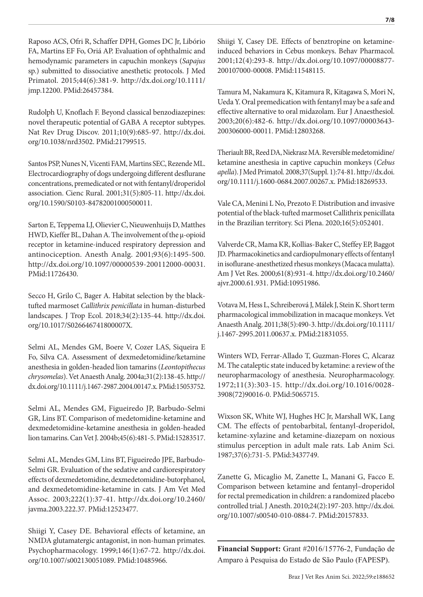Raposo ACS, Ofri R, Schaffer DPH, Gomes DC Jr, Libório FA, Martins EF Fo, Oriá AP. Evaluation of ophthalmic and hemodynamic parameters in capuchin monkeys (*Sapajus* sp.) submitted to dissociative anesthetic protocols. J Med Primatol. 2015;44(6):381-9. [http://dx.doi.org/10.1111/](https://doi.org/10.1111/jmp.12200) [jmp.12200.](https://doi.org/10.1111/jmp.12200) [PMid:26457384.](https://www.ncbi.nlm.nih.gov/entrez/query.fcgi?cmd=Retrieve&db=PubMed&list_uids=26457384&dopt=Abstract)

Rudolph U, Knoflach F. Beyond classical benzodiazepines: novel therapeutic potential of GABA A receptor subtypes. Nat Rev Drug Discov. 2011;10(9):685-97. [http://dx.doi.](https://doi.org/10.1038/nrd3502) [org/10.1038/nrd3502.](https://doi.org/10.1038/nrd3502) [PMid:21799515.](https://www.ncbi.nlm.nih.gov/entrez/query.fcgi?cmd=Retrieve&db=PubMed&list_uids=21799515&dopt=Abstract)

Santos PSP, Nunes N, Vicenti FAM, Martins SEC, Rezende ML. Electrocardiography of dogs undergoing different desflurane concentrations, premedicated or not with fentanyl/droperidol association. Cienc Rural. 2001;31(5):805-11. [http://dx.doi.](https://doi.org/10.1590/S0103-84782001000500011) [org/10.1590/S0103-84782001000500011.](https://doi.org/10.1590/S0103-84782001000500011)

Sarton E, Teppema LJ, Olievier C, Nieuwenhuijs D, Matthes HWD, Kieffer BL, Dahan A. The involvement of the μ-opioid receptor in ketamine-induced respiratory depression and antinociception. Anesth Analg. 2001;93(6):1495-500. [http://dx.doi.org/10.1097/00000539-200112000-00031.](https://doi.org/10.1097/00000539-200112000-00031) [PMid:11726430.](https://www.ncbi.nlm.nih.gov/entrez/query.fcgi?cmd=Retrieve&db=PubMed&list_uids=11726430&dopt=Abstract)

Secco H, Grilo C, Bager A. Habitat selection by the blacktufted marmoset *Callithrix penicillata* in human-disturbed landscapes. J Trop Ecol. 2018;34(2):135-44. [http://dx.doi.](https://doi.org/10.1017/S026646741800007X) [org/10.1017/S026646741800007X](https://doi.org/10.1017/S026646741800007X).

Selmi AL, Mendes GM, Boere V, Cozer LAS, Siqueira E Fo, Silva CA. Assessment of dexmedetomidine/ketamine anesthesia in golden-headed lion tamarins (*Leontopithecus chrysomelas*). Vet Anaesth Analg. 2004a;31(2):138-45. [http://](https://doi.org/10.1111/j.1467-2987.2004.00147.x) [dx.doi.org/10.1111/j.1467-2987.2004.00147.x.](https://doi.org/10.1111/j.1467-2987.2004.00147.x) [PMid:15053752.](https://www.ncbi.nlm.nih.gov/entrez/query.fcgi?cmd=Retrieve&db=PubMed&list_uids=15053752&dopt=Abstract)

Selmi AL, Mendes GM, Figueiredo JP, Barbudo-Selmi GR, Lins BT. Comparison of medetomidine-ketamine and dexmedetomidine-ketamine anesthesia in golden-headed lion tamarins. Can Vet J. 2004b;45(6):481-5. [PMid:15283517.](https://www.ncbi.nlm.nih.gov/entrez/query.fcgi?cmd=Retrieve&db=PubMed&list_uids=15283517&dopt=Abstract)

Selmi AL, Mendes GM, Lins BT, Figueiredo JPE, Barbudo-Selmi GR. Evaluation of the sedative and cardiorespiratory effects of dexmedetomidine, dexmedetomidine-butorphanol, and dexmedetomidine-ketamine in cats. J Am Vet Med Assoc. 2003;222(1):37-41. [http://dx.doi.org/10.2460/](https://doi.org/10.2460/javma.2003.222.37) [javma.2003.222.37](https://doi.org/10.2460/javma.2003.222.37). [PMid:12523477.](https://www.ncbi.nlm.nih.gov/entrez/query.fcgi?cmd=Retrieve&db=PubMed&list_uids=12523477&dopt=Abstract)

Shiigi Y, Casey DE. Behavioral effects of ketamine, an NMDA glutamatergic antagonist, in non-human primates. Psychopharmacology. 1999;146(1):67-72. [http://dx.doi.](https://doi.org/10.1007/s002130051089) [org/10.1007/s002130051089](https://doi.org/10.1007/s002130051089). [PMid:10485966.](https://www.ncbi.nlm.nih.gov/entrez/query.fcgi?cmd=Retrieve&db=PubMed&list_uids=10485966&dopt=Abstract)

Shiigi Y, Casey DE. Effects of benztropine on ketamineinduced behaviors in Cebus monkeys. Behav Pharmacol. 2001;12(4):293-8. [http://dx.doi.org/10.1097/00008877-](https://doi.org/10.1097/00008877-200107000-00008) [200107000-00008](https://doi.org/10.1097/00008877-200107000-00008). [PMid:11548115.](https://www.ncbi.nlm.nih.gov/entrez/query.fcgi?cmd=Retrieve&db=PubMed&list_uids=11548115&dopt=Abstract)

Tamura M, Nakamura K, Kitamura R, Kitagawa S, Mori N, Ueda Y. Oral premedication with fentanyl may be a safe and effective alternative to oral midazolam. Eur J Anaesthesiol. 2003;20(6):482-6. [http://dx.doi.org/10.1097/00003643-](https://doi.org/10.1097/00003643-200306000-00011) [200306000-00011](https://doi.org/10.1097/00003643-200306000-00011). [PMid:12803268.](https://www.ncbi.nlm.nih.gov/entrez/query.fcgi?cmd=Retrieve&db=PubMed&list_uids=12803268&dopt=Abstract)

Theriault BR, Reed DA, Niekrasz MA. Reversible medetomidine/ ketamine anesthesia in captive capuchin monkeys (*Cebus apella*). J Med Primatol. 2008;37(Suppl. 1):74-81. [http://dx.doi.](https://doi.org/10.1111/j.1600-0684.2007.00267.x) [org/10.1111/j.1600-0684.2007.00267.x](https://doi.org/10.1111/j.1600-0684.2007.00267.x)[. PMid:18269533.](https://www.ncbi.nlm.nih.gov/entrez/query.fcgi?cmd=Retrieve&db=PubMed&list_uids=18269533&dopt=Abstract)

Vale CA, Menini L No, Prezoto F. Distribution and invasive potential of the black-tufted marmoset Callithrix penicillata in the Brazilian territory. Sci Plena. 2020;16(5):052401.

Valverde CR, Mama KR, Kollias-Baker C, Steffey EP, Baggot JD. Pharmacokinetics and cardiopulmonary effects of fentanyl in isoflurane-anesthetized rhesus monkeys (Macaca mulatta). Am J Vet Res. 2000;61(8):931-4. [http://dx.doi.org/10.2460/](https://doi.org/10.2460/ajvr.2000.61.931) [ajvr.2000.61.931](https://doi.org/10.2460/ajvr.2000.61.931). [PMid:10951986.](https://www.ncbi.nlm.nih.gov/entrez/query.fcgi?cmd=Retrieve&db=PubMed&list_uids=10951986&dopt=Abstract)

Votava M, Hess L, Schreiberová J, Málek J, Stein K. Short term pharmacological immobilization in macaque monkeys. Vet Anaesth Analg. 2011;38(5):490-3. [http://dx.doi.org/10.1111/](https://doi.org/10.1111/j.1467-2995.2011.00637.x) [j.1467-2995.2011.00637.x](https://doi.org/10.1111/j.1467-2995.2011.00637.x). [PMid:21831055.](https://www.ncbi.nlm.nih.gov/entrez/query.fcgi?cmd=Retrieve&db=PubMed&list_uids=21831055&dopt=Abstract)

Winters WD, Ferrar-Allado T, Guzman-Flores C, Alcaraz M. The cataleptic state induced by ketamine: a review of the neuropharmacology of anesthesia. Neuropharmacology. 1972;11(3):303-15. [http://dx.doi.org/10.1016/0028-](https://doi.org/10.1016/0028-3908(72)90016-0) [3908\(72\)90016-0](https://doi.org/10.1016/0028-3908(72)90016-0). [PMid:5065715.](https://www.ncbi.nlm.nih.gov/entrez/query.fcgi?cmd=Retrieve&db=PubMed&list_uids=5065715&dopt=Abstract)

Wixson SK, White WJ, Hughes HC Jr, Marshall WK, Lang CM. The effects of pentobarbital, fentanyl-droperidol, ketamine-xylazine and ketamine-diazepam on noxious stimulus perception in adult male rats. Lab Anim Sci. 1987;37(6):731-5[. PMid:3437749.](https://www.ncbi.nlm.nih.gov/entrez/query.fcgi?cmd=Retrieve&db=PubMed&list_uids=3437749&dopt=Abstract)

Zanette G, Micaglio M, Zanette L, Manani G, Facco E. Comparison between ketamine and fentanyl–droperidol for rectal premedication in children: a randomized placebo controlled trial. J Anesth. 2010;24(2):197-203. [http://dx.doi.](https://doi.org/10.1007/s00540-010-0884-7) [org/10.1007/s00540-010-0884-7](https://doi.org/10.1007/s00540-010-0884-7). [PMid:20157833.](https://www.ncbi.nlm.nih.gov/entrez/query.fcgi?cmd=Retrieve&db=PubMed&list_uids=20157833&dopt=Abstract)

**Financial Support:** Grant #2016/15776-2, Fundação de Amparo à Pesquisa do Estado de São Paulo (FAPESP).